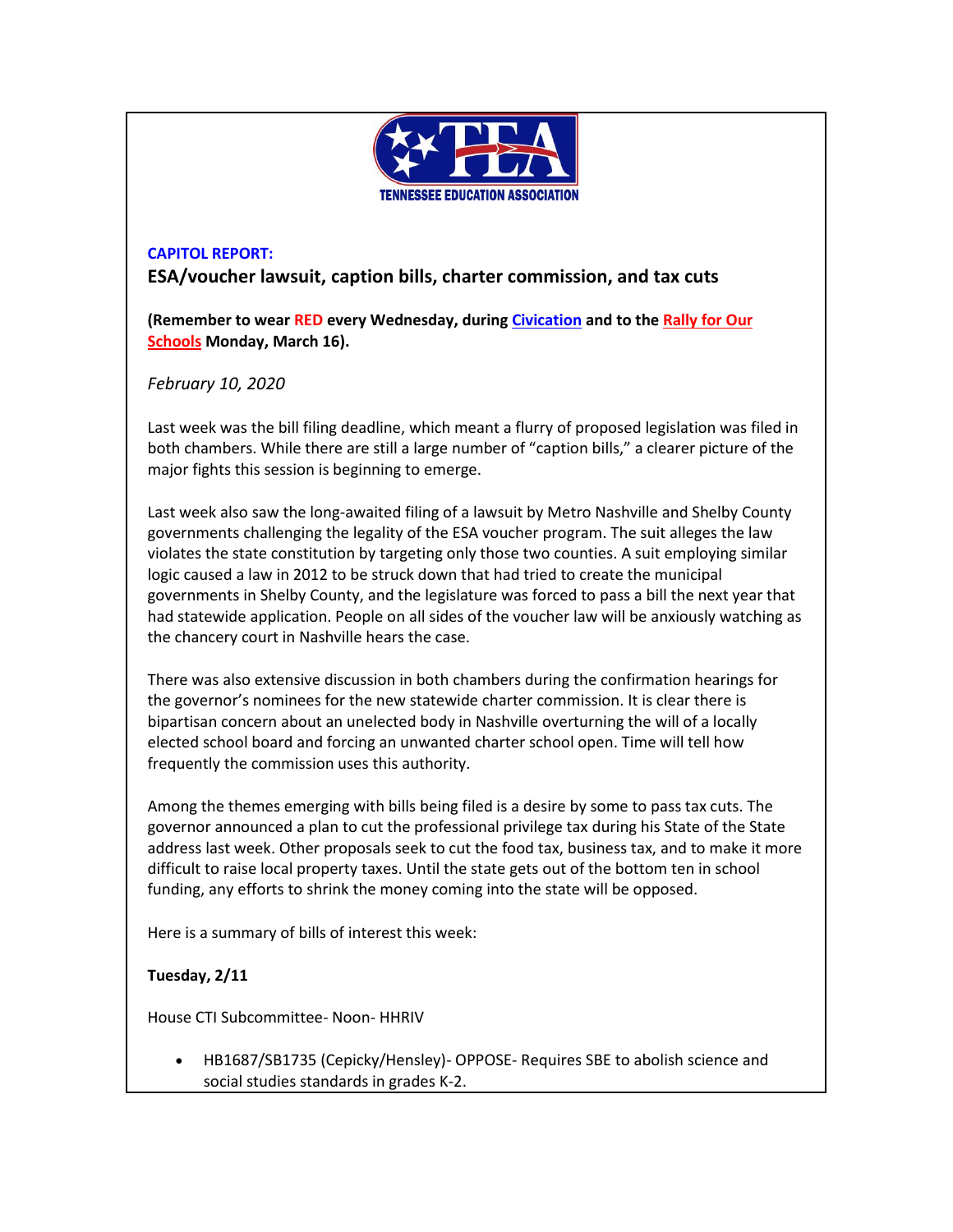

## **CAPITOL REPORT:**

**ESA/voucher lawsuit, caption bills, charter commission, and tax cuts**

**(Remember to wear RED every Wednesday, during [Civication](http://www.cvent.com/events/tea-civication/event-summary-fdfa814bfa504ffca38728d033d96363.aspx) and to the [Rally for Our](http://www.teateachers.org/rally)  [Schools](http://www.teateachers.org/rally) Monday, March 16).**

*February 10, 2020*

Last week was the bill filing deadline, which meant a flurry of proposed legislation was filed in both chambers. While there are still a large number of "caption bills," a clearer picture of the major fights this session is beginning to emerge.

Last week also saw the long-awaited filing of a lawsuit by Metro Nashville and Shelby County governments challenging the legality of the ESA voucher program. The suit alleges the law violates the state constitution by targeting only those two counties. A suit employing similar logic caused a law in 2012 to be struck down that had tried to create the municipal governments in Shelby County, and the legislature was forced to pass a bill the next year that had statewide application. People on all sides of the voucher law will be anxiously watching as the chancery court in Nashville hears the case.

There was also extensive discussion in both chambers during the confirmation hearings for the governor's nominees for the new statewide charter commission. It is clear there is bipartisan concern about an unelected body in Nashville overturning the will of a locally elected school board and forcing an unwanted charter school open. Time will tell how frequently the commission uses this authority.

Among the themes emerging with bills being filed is a desire by some to pass tax cuts. The governor announced a plan to cut the professional privilege tax during his State of the State address last week. Other proposals seek to cut the food tax, business tax, and to make it more difficult to raise local property taxes. Until the state gets out of the bottom ten in school funding, any efforts to shrink the money coming into the state will be opposed.

Here is a summary of bills of interest this week:

### **Tuesday, 2/11**

House CTI Subcommittee- Noon- HHRIV

• HB1687/SB1735 (Cepicky/Hensley)- OPPOSE- Requires SBE to abolish science and social studies standards in grades K-2.